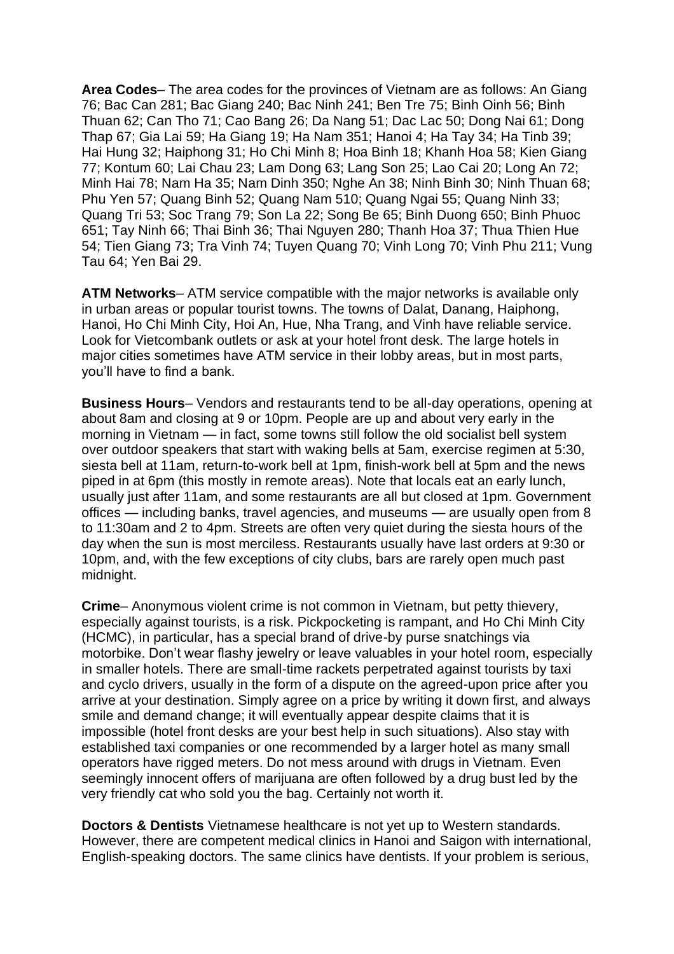**Area Codes**– The area codes for the provinces of Vietnam are as follows: An Giang 76; Bac Can 281; Bac Giang 240; Bac Ninh 241; Ben Tre 75; Binh Oinh 56; Binh Thuan 62; Can Tho 71; Cao Bang 26; Da Nang 51; Dac Lac 50; Dong Nai 61; Dong Thap 67; Gia Lai 59; Ha Giang 19; Ha Nam 351; Hanoi 4; Ha Tay 34; Ha Tinb 39; Hai Hung 32; Haiphong 31; Ho Chi Minh 8; Hoa Binh 18; Khanh Hoa 58; Kien Giang 77; Kontum 60; Lai Chau 23; Lam Dong 63; Lang Son 25; Lao Cai 20; Long An 72; Minh Hai 78; Nam Ha 35; Nam Dinh 350; Nghe An 38; Ninh Binh 30; Ninh Thuan 68; Phu Yen 57; Quang Binh 52; Quang Nam 510; Quang Ngai 55; Quang Ninh 33; Quang Tri 53; Soc Trang 79; Son La 22; Song Be 65; Binh Duong 650; Binh Phuoc 651; Tay Ninh 66; Thai Binh 36; Thai Nguyen 280; Thanh Hoa 37; Thua Thien Hue 54; Tien Giang 73; Tra Vinh 74; Tuyen Quang 70; Vinh Long 70; Vinh Phu 211; Vung Tau 64; Yen Bai 29.

**ATM Networks**– ATM service compatible with the major networks is available only in urban areas or popular tourist towns. The towns of Dalat, Danang, Haiphong, Hanoi, Ho Chi Minh City, Hoi An, Hue, Nha Trang, and Vinh have reliable service. Look for Vietcombank outlets or ask at your hotel front desk. The large hotels in major cities sometimes have ATM service in their lobby areas, but in most parts, you'll have to find a bank.

**Business Hours**– Vendors and restaurants tend to be all-day operations, opening at about 8am and closing at 9 or 10pm. People are up and about very early in the morning in Vietnam — in fact, some towns still follow the old socialist bell system over outdoor speakers that start with waking bells at 5am, exercise regimen at 5:30, siesta bell at 11am, return-to-work bell at 1pm, finish-work bell at 5pm and the news piped in at 6pm (this mostly in remote areas). Note that locals eat an early lunch, usually just after 11am, and some restaurants are all but closed at 1pm. Government offices — including banks, travel agencies, and museums — are usually open from 8 to 11:30am and 2 to 4pm. Streets are often very quiet during the siesta hours of the day when the sun is most merciless. Restaurants usually have last orders at 9:30 or 10pm, and, with the few exceptions of city clubs, bars are rarely open much past midnight.

**Crime**– Anonymous violent crime is not common in Vietnam, but petty thievery, especially against tourists, is a risk. Pickpocketing is rampant, and Ho Chi Minh City (HCMC), in particular, has a special brand of drive-by purse snatchings via motorbike. Don't wear flashy jewelry or leave valuables in your hotel room, especially in smaller hotels. There are small-time rackets perpetrated against tourists by taxi and cyclo drivers, usually in the form of a dispute on the agreed-upon price after you arrive at your destination. Simply agree on a price by writing it down first, and always smile and demand change; it will eventually appear despite claims that it is impossible (hotel front desks are your best help in such situations). Also stay with established taxi companies or one recommended by a larger hotel as many small operators have rigged meters. Do not mess around with drugs in Vietnam. Even seemingly innocent offers of marijuana are often followed by a drug bust led by the very friendly cat who sold you the bag. Certainly not worth it.

**Doctors & Dentists** Vietnamese healthcare is not yet up to Western standards. However, there are competent medical clinics in Hanoi and Saigon with international, English-speaking doctors. The same clinics have dentists. If your problem is serious,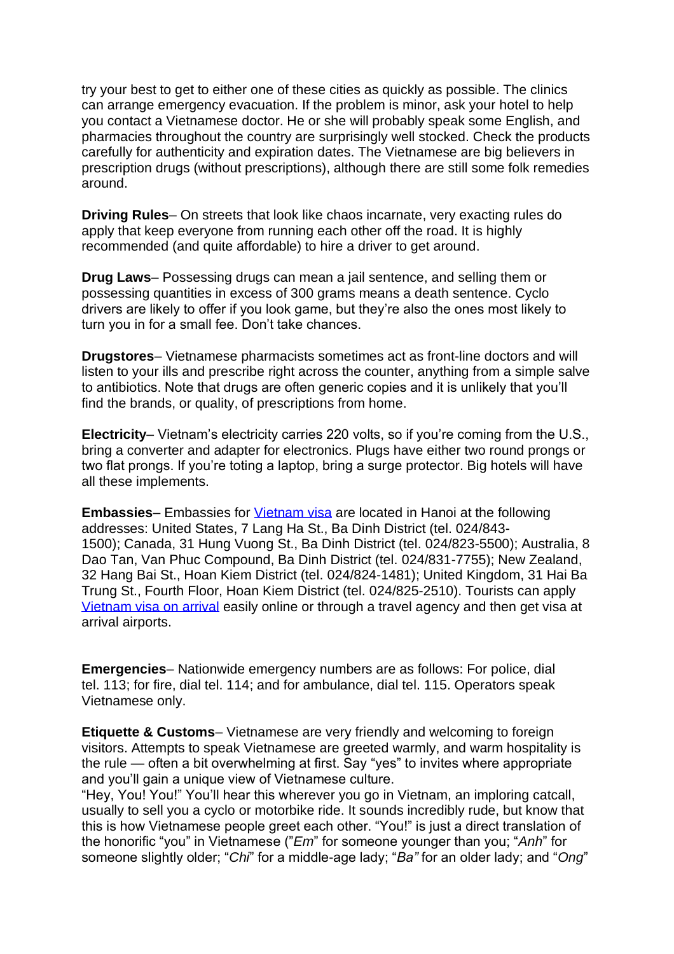try your best to get to either one of these cities as quickly as possible. The clinics can arrange emergency evacuation. If the problem is minor, ask your hotel to help you contact a Vietnamese doctor. He or she will probably speak some English, and pharmacies throughout the country are surprisingly well stocked. Check the products carefully for authenticity and expiration dates. The Vietnamese are big believers in prescription drugs (without prescriptions), although there are still some folk remedies around.

**Driving Rules**– On streets that look like chaos incarnate, very exacting rules do apply that keep everyone from running each other off the road. It is highly recommended (and quite affordable) to hire a driver to get around.

**Drug Laws**– Possessing drugs can mean a jail sentence, and selling them or possessing quantities in excess of 300 grams means a death sentence. Cyclo drivers are likely to offer if you look game, but they're also the ones most likely to turn you in for a small fee. Don't take chances.

**Drugstores**– Vietnamese pharmacists sometimes act as front-line doctors and will listen to your ills and prescribe right across the counter, anything from a simple salve to antibiotics. Note that drugs are often generic copies and it is unlikely that you'll find the brands, or quality, of prescriptions from home.

**Electricity**– Vietnam's electricity carries 220 volts, so if you're coming from the U.S., bring a converter and adapter for electronics. Plugs have either two round prongs or two flat prongs. If you're toting a laptop, bring a surge protector. Big hotels will have all these implements.

**Embassies**– Embassies for *Vietnam visa* are located in Hanoi at the following addresses: United States, 7 Lang Ha St., Ba Dinh District (tel. 024/843- 1500); Canada, 31 Hung Vuong St., Ba Dinh District (tel. 024/823-5500); Australia, 8 Dao Tan, Van Phuc Compound, Ba Dinh District (tel. 024/831-7755); New Zealand, 32 Hang Bai St., Hoan Kiem District (tel. 024/824-1481); United Kingdom, 31 Hai Ba Trung St., Fourth Floor, Hoan Kiem District (tel. 024/825-2510). Tourists can apply [Vietnam visa on arrival](https://getvietnamvisa.com/) easily online or through a travel agency and then get visa at arrival airports.

**Emergencies**– Nationwide emergency numbers are as follows: For police, dial tel. 113; for fire, dial tel. 114; and for ambulance, dial tel. 115. Operators speak Vietnamese only.

**Etiquette & Customs**– Vietnamese are very friendly and welcoming to foreign visitors. Attempts to speak Vietnamese are greeted warmly, and warm hospitality is the rule — often a bit overwhelming at first. Say "yes" to invites where appropriate and you'll gain a unique view of Vietnamese culture.

"Hey, You! You!" You'll hear this wherever you go in Vietnam, an imploring catcall, usually to sell you a cyclo or motorbike ride. It sounds incredibly rude, but know that this is how Vietnamese people greet each other. "You!" is just a direct translation of the honorific "you" in Vietnamese ("*Em*" for someone younger than you; "*Anh*" for someone slightly older; "*Chi*" for a middle-age lady; "*Ba"* for an older lady; and "*Ong*"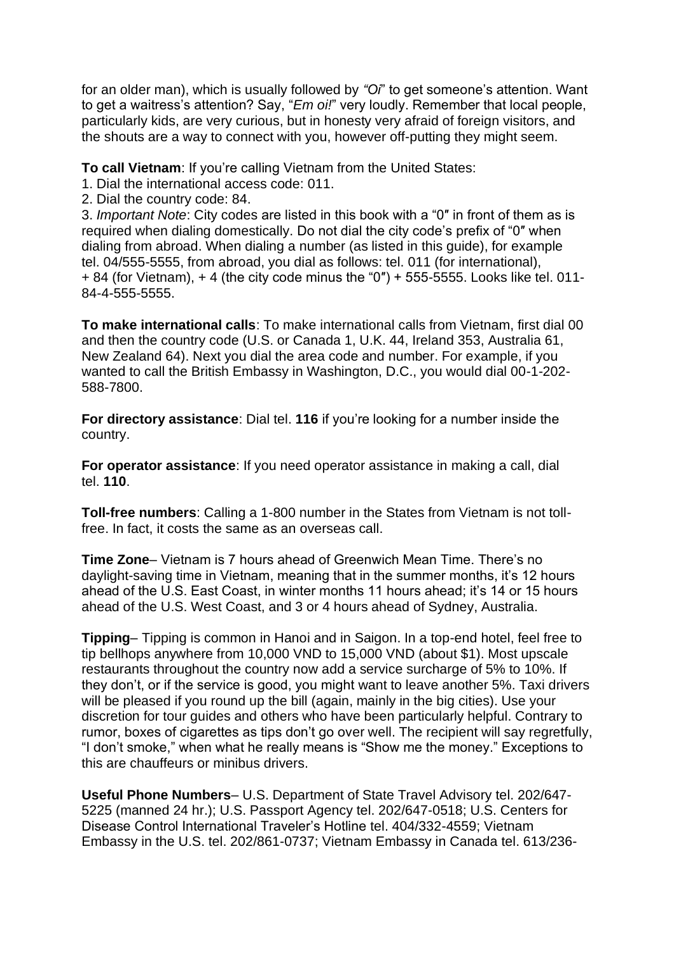for an older man), which is usually followed by *"Oi*" to get someone's attention. Want to get a waitress's attention? Say, "*Em oi!*" very loudly. Remember that local people, particularly kids, are very curious, but in honesty very afraid of foreign visitors, and the shouts are a way to connect with you, however off-putting they might seem.

**To call Vietnam**: If you're calling Vietnam from the United States:

- 1. Dial the international access code: 011.
- 2. Dial the country code: 84.

3. *Important Note*: City codes are listed in this book with a "0″ in front of them as is required when dialing domestically. Do not dial the city code's prefix of "0″ when dialing from abroad. When dialing a number (as listed in this guide), for example tel. 04/555-5555, from abroad, you dial as follows: tel. 011 (for international), + 84 (for Vietnam), + 4 (the city code minus the "0″) + 555-5555. Looks like tel. 011- 84-4-555-5555.

**To make international calls**: To make international calls from Vietnam, first dial 00 and then the country code (U.S. or Canada 1, U.K. 44, Ireland 353, Australia 61, New Zealand 64). Next you dial the area code and number. For example, if you wanted to call the British Embassy in Washington, D.C., you would dial 00-1-202- 588-7800.

**For directory assistance**: Dial tel. **116** if you're looking for a number inside the country.

**For operator assistance**: If you need operator assistance in making a call, dial tel. **110**.

**Toll-free numbers**: Calling a 1-800 number in the States from Vietnam is not tollfree. In fact, it costs the same as an overseas call.

**Time Zone**– Vietnam is 7 hours ahead of Greenwich Mean Time. There's no daylight-saving time in Vietnam, meaning that in the summer months, it's 12 hours ahead of the U.S. East Coast, in winter months 11 hours ahead; it's 14 or 15 hours ahead of the U.S. West Coast, and 3 or 4 hours ahead of Sydney, Australia.

**Tipping**– Tipping is common in Hanoi and in Saigon. In a top-end hotel, feel free to tip bellhops anywhere from 10,000 VND to 15,000 VND (about \$1). Most upscale restaurants throughout the country now add a service surcharge of 5% to 10%. If they don't, or if the service is good, you might want to leave another 5%. Taxi drivers will be pleased if you round up the bill (again, mainly in the big cities). Use your discretion for tour guides and others who have been particularly helpful. Contrary to rumor, boxes of cigarettes as tips don't go over well. The recipient will say regretfully, "I don't smoke," when what he really means is "Show me the money." Exceptions to this are chauffeurs or minibus drivers.

**Useful Phone Numbers**– U.S. Department of State Travel Advisory tel. 202/647- 5225 (manned 24 hr.); U.S. Passport Agency tel. 202/647-0518; U.S. Centers for Disease Control International Traveler's Hotline tel. 404/332-4559; Vietnam Embassy in the U.S. tel. 202/861-0737; Vietnam Embassy in Canada tel. 613/236